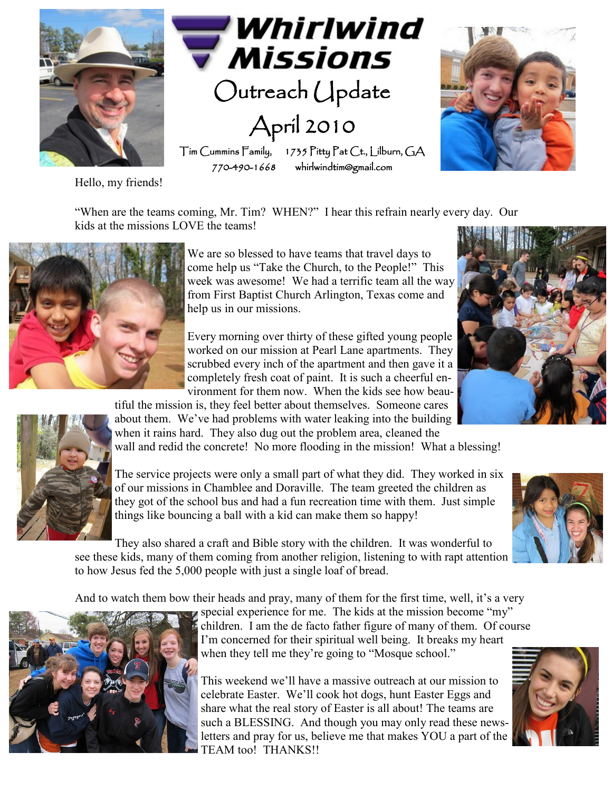

"When are the teams coming, Mr. Tim? WHEN?" I hear this refrain nearly every day. Our kids at the missions LOVE the teams!



We are so blessed to have teams that travel days to come help us "Take the Church, to the People!" This week was awesome! We had a terrific team all the way from First Baptist Church Arlington, Texas come and help us in our missions.

Every morning over thirty of these gifted young people worked on our mission at Pearl Lane apartments. They scrubbed every inch of the apartment and then gave it a completely fresh coat of paint. It is such a cheerful environment for them now. When the kids see how beau-



tiful the mission is, they feel better about themselves. Someone cares about them. We've had problems with water leaking into the building when it rains hard. They also dug out the problem area, cleaned the

wall and redid the concrete! No more flooding in the mission! What a blessing!

The service projects were only a small part of what they did. They worked in six of our missions in Chamblee and Doraville. The team greeted the children as they got of the school bus and had a fun recreation time with them. Just simple things like bouncing a ball with a kid can make them so happy!

They also shared a craft and Bible story with the children. It was wonderful to see these kids, many of them coming from another religion, listening to with rapt attention to how Jesus fed the 5,000 people with just a single loaf of bread.

And to watch them bow their heads and pray, many of them for the first time, well, it's a very



special experience for me. The kids at the mission become "my" children. I am the de facto father figure of many of them. Of course I'm concerned for their spiritual well being. It breaks my heart when they tell me they're going to "Mosque school."

This weekend we'll have a massive outreach at our mission to celebrate Easter. We'll cook hot dogs, hunt Easter Eggs and share what the real story of Easter is all about! The teams are such a BLESSING. And though you may only read these newsletters and pray for us, believe me that makes YOU a part of the TEAM too! THANKS!!